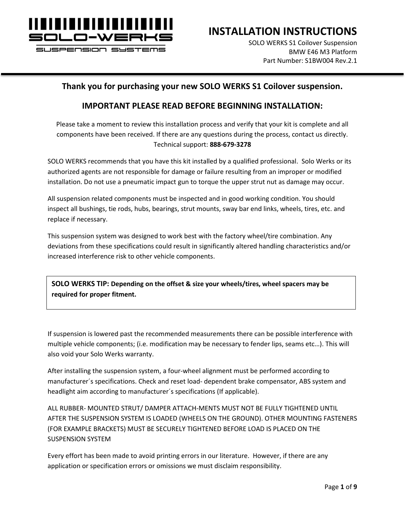

SUSPENSION SYSTEMS

**INSTALLATION INSTRUCTIONS**

SOLO WERKS S1 Coilover Suspension BMW E46 M3 Platform Part Number: S1BW004 Rev.2.1

#### **Thank you for purchasing your new SOLO WERKS S1 Coilover suspension.**

#### **IMPORTANT PLEASE READ BEFORE BEGINNING INSTALLATION:**

Please take a moment to review this installation process and verify that your kit is complete and all components have been received. If there are any questions during the process, contact us directly. Technical support: **888-679-3278**

SOLO WERKS recommends that you have this kit installed by a qualified professional. Solo Werks or its authorized agents are not responsible for damage or failure resulting from an improper or modified installation. Do not use a pneumatic impact gun to torque the upper strut nut as damage may occur.

All suspension related components must be inspected and in good working condition. You should inspect all bushings, tie rods, hubs, bearings, strut mounts, sway bar end links, wheels, tires, etc. and replace if necessary.

This suspension system was designed to work best with the factory wheel/tire combination. Any deviations from these specifications could result in significantly altered handling characteristics and/or increased interference risk to other vehicle components.

**SOLO WERKS TIP: Depending on the offset & size your wheels/tires, wheel spacers may be required for proper fitment.**

If suspension is lowered past the recommended measurements there can be possible interference with multiple vehicle components; (i.e. modification may be necessary to fender lips, seams etc…). This will also void your Solo Werks warranty.

After installing the suspension system, a four-wheel alignment must be performed according to manufacturer´s specifications. Check and reset load- dependent brake compensator, ABS system and headlight aim according to manufacturer´s specifications (If applicable).

ALL RUBBER- MOUNTED STRUT/ DAMPER ATTACH-MENTS MUST NOT BE FULLY TIGHTENED UNTIL AFTER THE SUSPENSION SYSTEM IS LOADED (WHEELS ON THE GROUND). OTHER MOUNTING FASTENERS (FOR EXAMPLE BRACKETS) MUST BE SECURELY TIGHTENED BEFORE LOAD IS PLACED ON THE SUSPENSION SYSTEM

Every effort has been made to avoid printing errors in our literature. However, if there are any application or specification errors or omissions we must disclaim responsibility.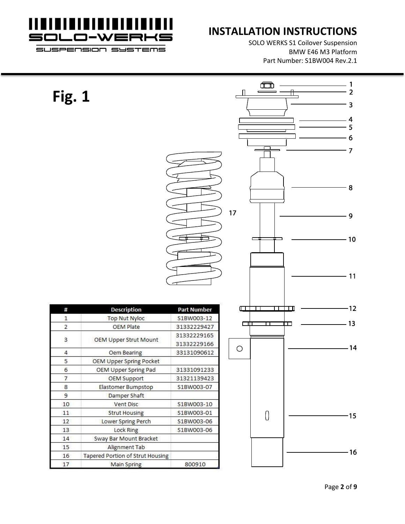

SOLO WERKS S1 Coilover Suspension BMW E46 M3 Platform Part Number: S1BW004 Rev.2.1

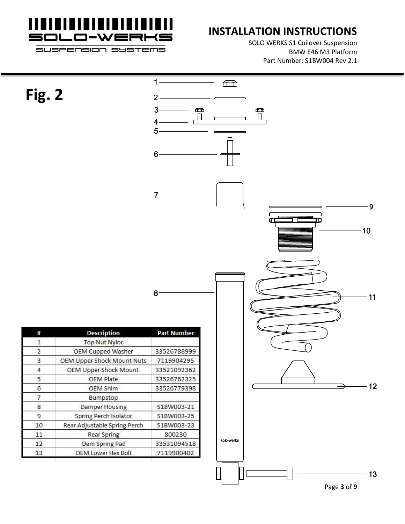

SOLO WERKS S1 Coilover Suspension BMW E46 M3 Platform Part Number: S1BW004 Rev.2.1

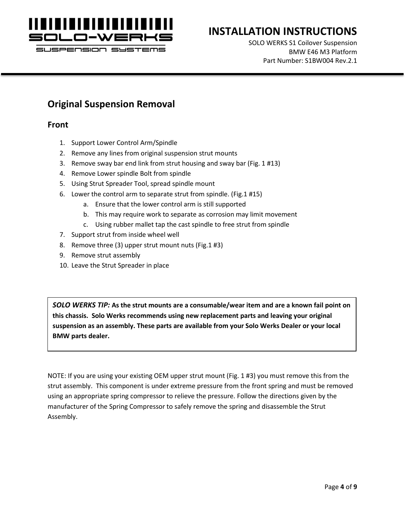

#### SUSPENSION SYSTEMS

### **INSTALLATION INSTRUCTIONS**

SOLO WERKS S1 Coilover Suspension BMW E46 M3 Platform Part Number: S1BW004 Rev.2.1

#### **Original Suspension Removal**

#### **Front**

- 1. Support Lower Control Arm/Spindle
- 2. Remove any lines from original suspension strut mounts
- 3. Remove sway bar end link from strut housing and sway bar (Fig. 1 #13)
- 4. Remove Lower spindle Bolt from spindle
- 5. Using Strut Spreader Tool, spread spindle mount
- 6. Lower the control arm to separate strut from spindle. (Fig.1 #15)
	- a. Ensure that the lower control arm is still supported
	- b. This may require work to separate as corrosion may limit movement
	- c. Using rubber mallet tap the cast spindle to free strut from spindle
- 7. Support strut from inside wheel well
- 8. Remove three (3) upper strut mount nuts (Fig.1 #3)
- 9. Remove strut assembly
- 10. Leave the Strut Spreader in place

*SOLO WERKS TIP:* **As the strut mounts are a consumable/wear item and are a known fail point on this chassis. Solo Werks recommends using new replacement parts and leaving your original suspension as an assembly. These parts are available from your Solo Werks Dealer or your local BMW parts dealer.**

NOTE: If you are using your existing OEM upper strut mount (Fig. 1 #3) you must remove this from the strut assembly. This component is under extreme pressure from the front spring and must be removed using an appropriate spring compressor to relieve the pressure. Follow the directions given by the manufacturer of the Spring Compressor to safely remove the spring and disassemble the Strut Assembly.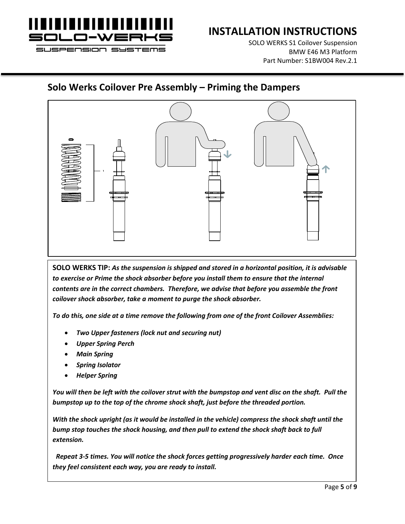

SOLO WERKS S1 Coilover Suspension BMW E46 M3 Platform Part Number: S1BW004 Rev.2.1

#### **Solo Werks Coilover Pre Assembly – Priming the Dampers**



**SOLO WERKS TIP:** *As the suspension is shipped and stored in a horizontal position, it is advisable to exercise or Prime the shock absorber before you install them to ensure that the internal contents are in the correct chambers. Therefore, we advise that before you assemble the front coilover shock absorber, take a moment to purge the shock absorber.* 

*To do this, one side at a time remove the following from one of the front Coilover Assemblies:*

- *Two Upper fasteners (lock nut and securing nut)*
- *Upper Spring Perch*
- *Main Spring*
- *Spring Isolator*
- *Helper Spring*

*You will then be left with the coilover strut with the bumpstop and vent disc on the shaft. Pull the bumpstop up to the top of the chrome shock shaft, just before the threaded portion.* 

*With the shock upright (as it would be installed in the vehicle) compress the shock shaft until the bump stop touches the shock housing, and then pull to extend the shock shaft back to full extension.*

 *Repeat 3-5 times. You will notice the shock forces getting progressively harder each time. Once they feel consistent each way, you are ready to install.*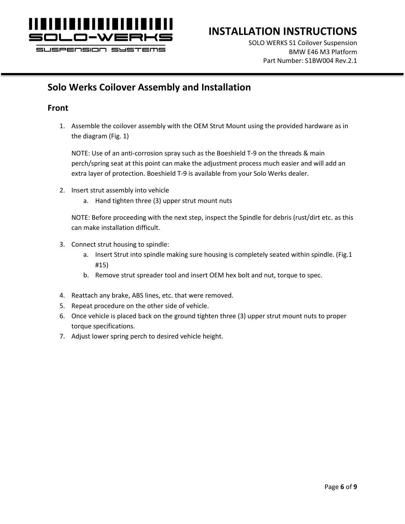

SOLO WERKS S1 Coilover Suspension BMW E46 M3 Platform Part Number: S1BW004 Rev.2.1

## **Solo Werks Coilover Assembly and Installation**

#### **Front**

1. Assemble the coilover assembly with the OEM Strut Mount using the provided hardware as in the diagram (Fig. 1)

NOTE: Use of an anti-corrosion spray such as the Boeshield T-9 on the threads & main perch/spring seat at this point can make the adjustment process much easier and will add an extra layer of protection. Boeshield T-9 is available from your Solo Werks dealer.

- 2. Insert strut assembly into vehicle
	- a. Hand tighten three (3) upper strut mount nuts

NOTE: Before proceeding with the next step, inspect the Spindle for debris (rust/dirt etc. as this can make installation difficult.

- 3. Connect strut housing to spindle:
	- a. Insert Strut into spindle making sure housing is completely seated within spindle. (Fig.1 #15)
	- b. Remove strut spreader tool and insert OEM hex bolt and nut, torque to spec.
- 4. Reattach any brake, ABS lines, etc. that were removed.
- 5. Repeat procedure on the other side of vehicle.
- 6. Once vehicle is placed back on the ground tighten three (3) upper strut mount nuts to proper torque specifications.
- 7. Adjust lower spring perch to desired vehicle height.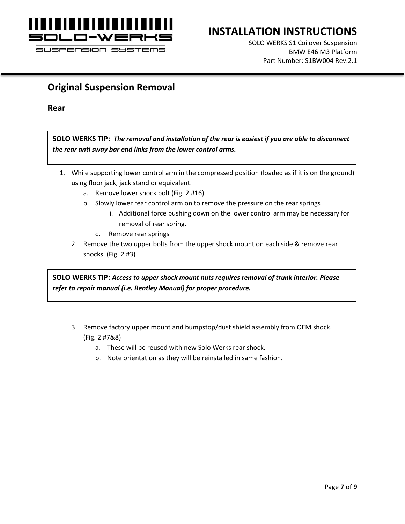

SOLO WERKS S1 Coilover Suspension BMW E46 M3 Platform Part Number: S1BW004 Rev.2.1

#### **Original Suspension Removal**

**Rear**

**SOLO WERKS TIP:** *The removal and installation of the rear is easiest if you are able to disconnect the rear anti sway bar end links from the lower control arms.*

- 1. While supporting lower control arm in the compressed position (loaded as if it is on the ground) using floor jack, jack stand or equivalent.
	- a. Remove lower shock bolt (Fig. 2 #16)
	- b. Slowly lower rear control arm on to remove the pressure on the rear springs
		- i. Additional force pushing down on the lower control arm may be necessary for removal of rear spring.
		- c. Remove rear springs
	- 2. Remove the two upper bolts from the upper shock mount on each side & remove rear shocks. (Fig. 2 #3)

**SOLO WERKS TIP:** *Access to upper shock mount nuts requires removal of trunk interior. Please refer to repair manual (i.e. Bentley Manual) for proper procedure.*

- 3. Remove factory upper mount and bumpstop/dust shield assembly from OEM shock. (Fig. 2 #7&8)
	- a. These will be reused with new Solo Werks rear shock.
	- b. Note orientation as they will be reinstalled in same fashion.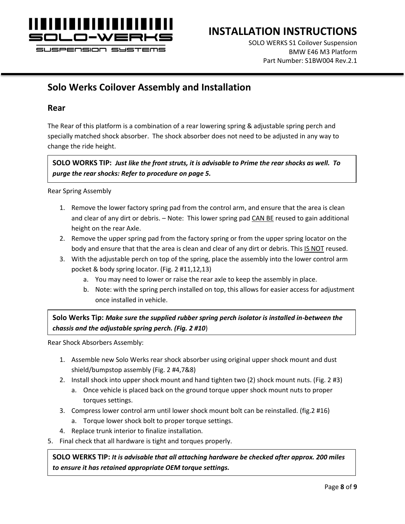

#### SUSPENSION SYSTEMS

#### **INSTALLATION INSTRUCTIONS**

SOLO WERKS S1 Coilover Suspension BMW E46 M3 Platform Part Number: S1BW004 Rev.2.1

#### **Solo Werks Coilover Assembly and Installation**

#### **Rear**

The Rear of this platform is a combination of a rear lowering spring & adjustable spring perch and specially matched shock absorber. The shock absorber does not need to be adjusted in any way to change the ride height.

**SOLO WORKS TIP:** *Just like the front struts, it is advisable to Prime the rear shocks as well. To purge the rear shocks: Refer to procedure on page 5.*

Rear Spring Assembly

- 1. Remove the lower factory spring pad from the control arm, and ensure that the area is clean and clear of any dirt or debris. – Note: This lower spring pad CAN BE reused to gain additional height on the rear Axle.
- 2. Remove the upper spring pad from the factory spring or from the upper spring locator on the body and ensure that that the area is clean and clear of any dirt or debris. This IS NOT reused.
- 3. With the adjustable perch on top of the spring, place the assembly into the lower control arm pocket & body spring locator. (Fig. 2 #11,12,13)
	- a. You may need to lower or raise the rear axle to keep the assembly in place.
	- b. Note: with the spring perch installed on top, this allows for easier access for adjustment once installed in vehicle.

**Solo Werks Tip:** *Make sure the supplied rubber spring perch isolator is installed in-between the chassis and the adjustable spring perch. (Fig. 2 #10*)

Rear Shock Absorbers Assembly:

- 1. Assemble new Solo Werks rear shock absorber using original upper shock mount and dust shield/bumpstop assembly (Fig. 2 #4,7&8)
- 2. Install shock into upper shock mount and hand tighten two (2) shock mount nuts. (Fig. 2 #3)
	- a. Once vehicle is placed back on the ground torque upper shock mount nuts to proper torques settings.
- 3. Compress lower control arm until lower shock mount bolt can be reinstalled. (fig.2 #16)
	- a. Torque lower shock bolt to proper torque settings.
- 4. Replace trunk interior to finalize installation.
- 5. Final check that all hardware is tight and torques properly.

**SOLO WERKS TIP:** *It is advisable that all attaching hardware be checked after approx. 200 miles to ensure it has retained appropriate OEM torque settings.*